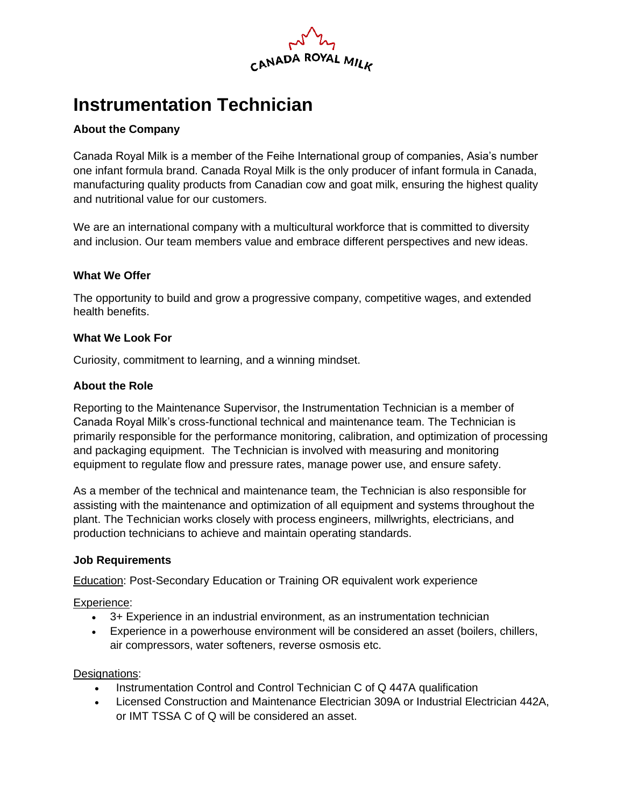

# **Instrumentation Technician**

# **About the Company**

Canada Royal Milk is a member of the Feihe International group of companies, Asia's number one infant formula brand. Canada Royal Milk is the only producer of infant formula in Canada, manufacturing quality products from Canadian cow and goat milk, ensuring the highest quality and nutritional value for our customers.

We are an international company with a multicultural workforce that is committed to diversity and inclusion. Our team members value and embrace different perspectives and new ideas.

## **What We Offer**

The opportunity to build and grow a progressive company, competitive wages, and extended health benefits.

## **What We Look For**

Curiosity, commitment to learning, and a winning mindset.

## **About the Role**

Reporting to the Maintenance Supervisor, the Instrumentation Technician is a member of Canada Royal Milk's cross-functional technical and maintenance team. The Technician is primarily responsible for the performance monitoring, calibration, and optimization of processing and packaging equipment. The Technician is involved with measuring and monitoring equipment to regulate flow and pressure rates, manage power use, and ensure safety.

As a member of the technical and maintenance team, the Technician is also responsible for assisting with the maintenance and optimization of all equipment and systems throughout the plant. The Technician works closely with process engineers, millwrights, electricians, and production technicians to achieve and maintain operating standards.

#### **Job Requirements**

Education: Post-Secondary Education or Training OR equivalent work experience

Experience:

- 3+ Experience in an industrial environment, as an instrumentation technician
- Experience in a powerhouse environment will be considered an asset (boilers, chillers, air compressors, water softeners, reverse osmosis etc.

#### Designations:

- Instrumentation Control and Control Technician C of Q 447A qualification
- Licensed Construction and Maintenance Electrician 309A or Industrial Electrician 442A, or IMT TSSA C of Q will be considered an asset.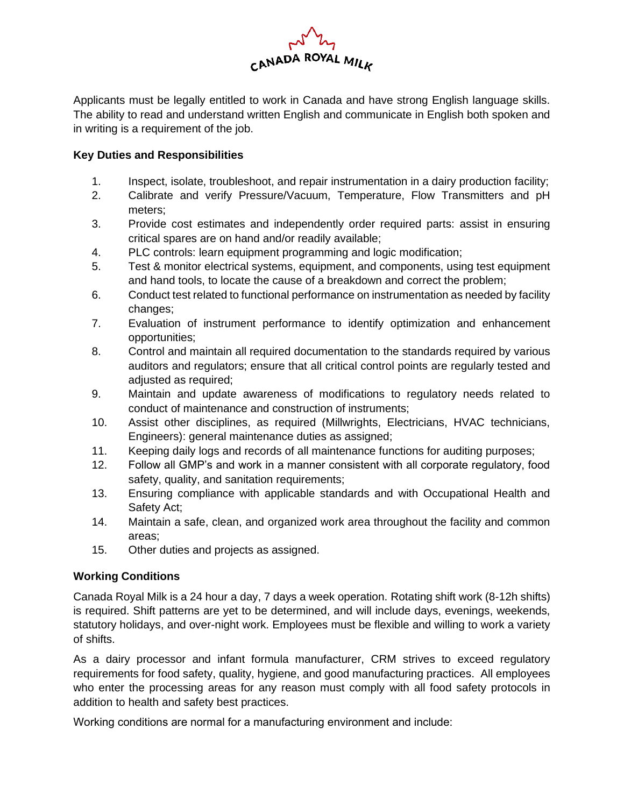

Applicants must be legally entitled to work in Canada and have strong English language skills. The ability to read and understand written English and communicate in English both spoken and in writing is a requirement of the job.

# **Key Duties and Responsibilities**

- 1. Inspect, isolate, troubleshoot, and repair instrumentation in a dairy production facility;
- 2. Calibrate and verify Pressure/Vacuum, Temperature, Flow Transmitters and pH meters;
- 3. Provide cost estimates and independently order required parts: assist in ensuring critical spares are on hand and/or readily available;
- 4. PLC controls: learn equipment programming and logic modification;
- 5. Test & monitor electrical systems, equipment, and components, using test equipment and hand tools, to locate the cause of a breakdown and correct the problem;
- 6. Conduct test related to functional performance on instrumentation as needed by facility changes;
- 7. Evaluation of instrument performance to identify optimization and enhancement opportunities;
- 8. Control and maintain all required documentation to the standards required by various auditors and regulators; ensure that all critical control points are regularly tested and adjusted as required;
- 9. Maintain and update awareness of modifications to regulatory needs related to conduct of maintenance and construction of instruments;
- 10. Assist other disciplines, as required (Millwrights, Electricians, HVAC technicians, Engineers): general maintenance duties as assigned;
- 11. Keeping daily logs and records of all maintenance functions for auditing purposes;
- 12. Follow all GMP's and work in a manner consistent with all corporate regulatory, food safety, quality, and sanitation requirements;
- 13. Ensuring compliance with applicable standards and with Occupational Health and Safety Act;
- 14. Maintain a safe, clean, and organized work area throughout the facility and common areas;
- 15. Other duties and projects as assigned.

## **Working Conditions**

Canada Royal Milk is a 24 hour a day, 7 days a week operation. Rotating shift work (8-12h shifts) is required. Shift patterns are yet to be determined, and will include days, evenings, weekends, statutory holidays, and over-night work. Employees must be flexible and willing to work a variety of shifts.

As a dairy processor and infant formula manufacturer, CRM strives to exceed regulatory requirements for food safety, quality, hygiene, and good manufacturing practices. All employees who enter the processing areas for any reason must comply with all food safety protocols in addition to health and safety best practices.

Working conditions are normal for a manufacturing environment and include: